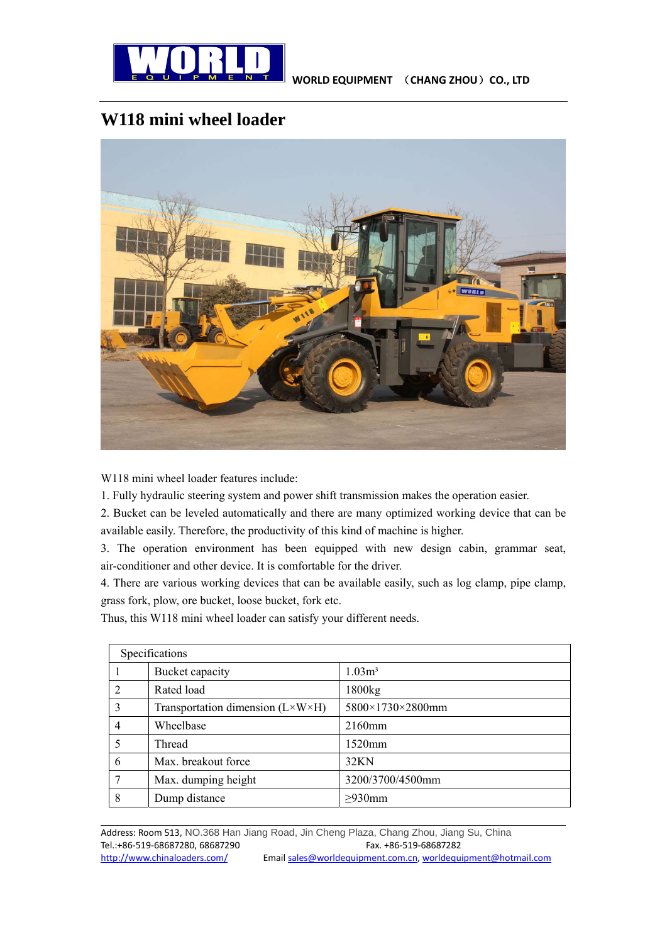

## **W118 mini wheel loader**



W118 mini wheel loader features include:

1. Fully hydraulic steering system and power shift transmission makes the operation easier.

2. Bucket can be leveled automatically and there are many optimized working device that can be available easily. Therefore, the productivity of this kind of machine is higher.

3. The operation environment has been equipped with new design cabin, grammar seat, air-conditioner and other device. It is comfortable for the driver.

4. There are various working devices that can be available easily, such as log clamp, pipe clamp, grass fork, plow, ore bucket, loose bucket, fork etc.

Thus, this W118 mini wheel loader can satisfy your different needs.

| Specifications |                                                  |                   |  |
|----------------|--------------------------------------------------|-------------------|--|
|                | Bucket capacity                                  | 1.03 <sup>3</sup> |  |
| $\overline{2}$ | Rated load                                       | 1800kg            |  |
| $\mathcal{E}$  | Transportation dimension $(L \times W \times H)$ | 5800×1730×2800mm  |  |
| 4              | Wheelbase                                        | 2160mm            |  |
| 5              | Thread                                           | $1520$ mm         |  |
| 6              | Max. breakout force                              | 32KN              |  |
| 7              | Max. dumping height                              | 3200/3700/4500mm  |  |
| 8              | Dump distance                                    | $\geq$ 930mm      |  |

<u> 1999 - Johann Harry Harry Harry Harry Harry Harry Harry Harry Harry Harry Harry Harry Harry Harry Harry Harry H</u>